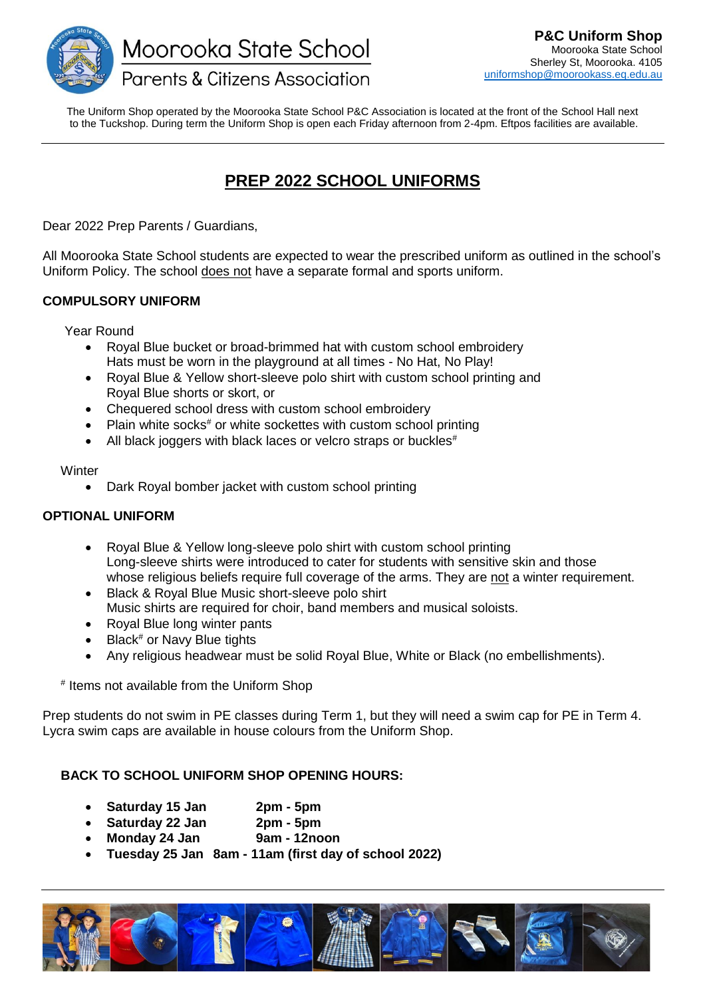

The Uniform Shop operated by the Moorooka State School P&C Association is located at the front of the School Hall next to the Tuckshop. During term the Uniform Shop is open each Friday afternoon from 2-4pm. Eftpos facilities are available.

## **PREP 2022 SCHOOL UNIFORMS**

Dear 2022 Prep Parents / Guardians,

All Moorooka State School students are expected to wear the prescribed uniform as outlined in the school's Uniform Policy. The school does not have a separate formal and sports uniform.

#### **COMPULSORY UNIFORM**

Year Round

- Royal Blue bucket or broad-brimmed hat with custom school embroidery Hats must be worn in the playground at all times - No Hat, No Play!
- Royal Blue & Yellow short-sleeve polo shirt with custom school printing and Royal Blue shorts or skort, or
- Chequered school dress with custom school embroidery
- Plain white socks<sup>#</sup> or white sockettes with custom school printing
- All black joggers with black laces or velcro straps or buckles $*$

#### **Winter**

• Dark Royal bomber jacket with custom school printing

#### **OPTIONAL UNIFORM**

- Royal Blue & Yellow long-sleeve polo shirt with custom school printing Long-sleeve shirts were introduced to cater for students with sensitive skin and those whose religious beliefs require full coverage of the arms. They are not a winter requirement.
- Black & Royal Blue Music short-sleeve polo shirt Music shirts are required for choir, band members and musical soloists.
- Royal Blue long winter pants
- Black<sup>#</sup> or Navy Blue tights
- Any religious headwear must be solid Royal Blue, White or Black (no embellishments).

# Items not available from the Uniform Shop

Prep students do not swim in PE classes during Term 1, but they will need a swim cap for PE in Term 4. Lycra swim caps are available in house colours from the Uniform Shop.

#### **BACK TO SCHOOL UNIFORM SHOP OPENING HOURS:**

- **Saturday 15 Jan 2pm - 5pm**
- **Saturday 22 Jan 2pm - 5pm**
- **Monday 24 Jan 9am - 12noon**
- **Tuesday 25 Jan 8am - 11am (first day of school 2022)**

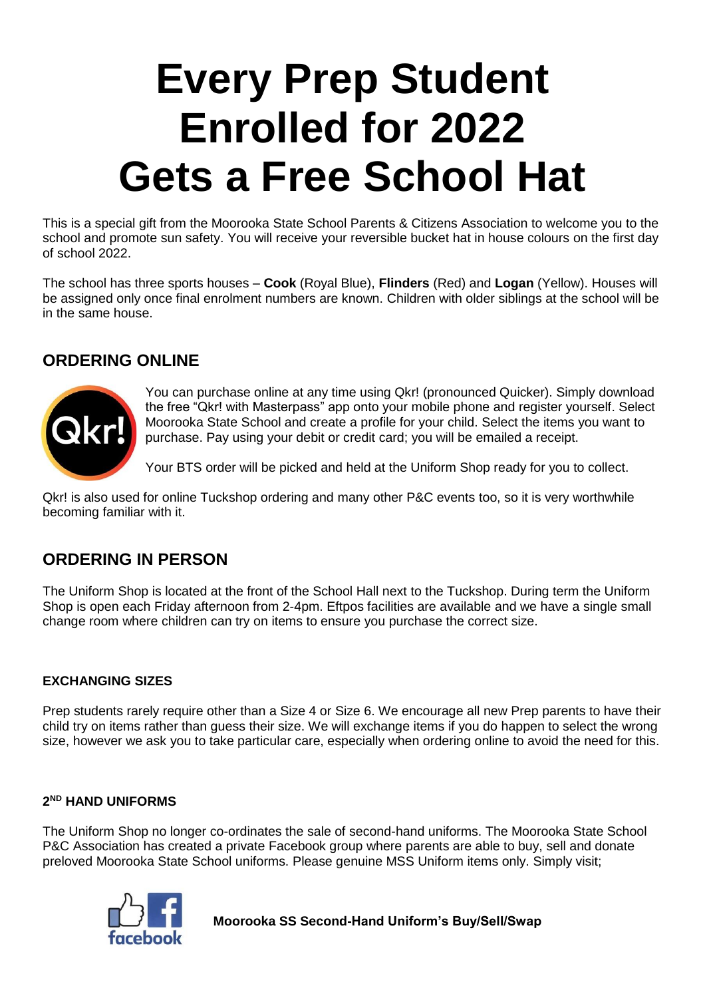# **Every Prep Student Enrolled for 2022 Gets a Free School Hat**

This is a special gift from the Moorooka State School Parents & Citizens Association to welcome you to the school and promote sun safety. You will receive your reversible bucket hat in house colours on the first day of school 2022.

The school has three sports houses – **Cook** (Royal Blue), **Flinders** (Red) and **Logan** (Yellow). Houses will be assigned only once final enrolment numbers are known. Children with older siblings at the school will be in the same house.

### **ORDERING ONLINE**



You can purchase online at any time using Qkr! (pronounced Quicker). Simply download the free "Qkr! with Masterpass" app onto your mobile phone and register yourself. Select Moorooka State School and create a profile for your child. Select the items you want to purchase. Pay using your debit or credit card; you will be emailed a receipt.

Your BTS order will be picked and held at the Uniform Shop ready for you to collect.

Qkr! is also used for online Tuckshop ordering and many other P&C events too, so it is very worthwhile becoming familiar with it.

### **ORDERING IN PERSON**

The Uniform Shop is located at the front of the School Hall next to the Tuckshop. During term the Uniform Shop is open each Friday afternoon from 2-4pm. Eftpos facilities are available and we have a single small change room where children can try on items to ensure you purchase the correct size.

#### **EXCHANGING SIZES**

Prep students rarely require other than a Size 4 or Size 6. We encourage all new Prep parents to have their child try on items rather than guess their size. We will exchange items if you do happen to select the wrong size, however we ask you to take particular care, especially when ordering online to avoid the need for this.

#### **2 ND HAND UNIFORMS**

The Uniform Shop no longer co-ordinates the sale of second-hand uniforms. The Moorooka State School P&C Association has created a private Facebook group where parents are able to buy, sell and donate preloved Moorooka State School uniforms. Please genuine MSS Uniform items only. Simply visit;



**Moorooka SS Second-Hand Uniform's Buy/Sell/Swap**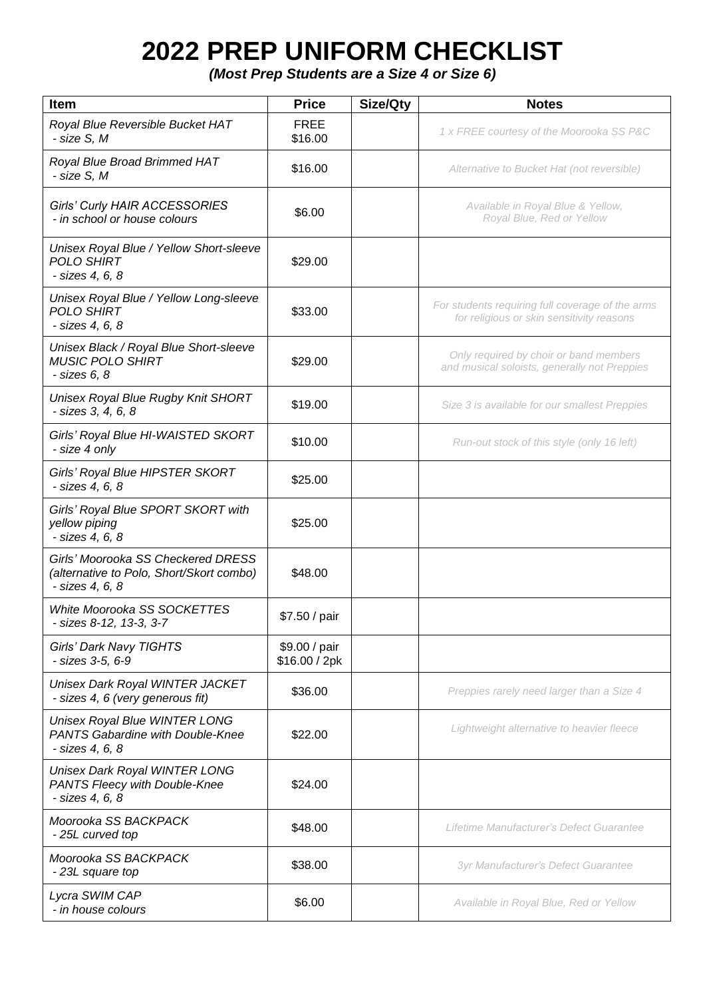# **2022 PREP UNIFORM CHECKLIST**

*(Most Prep Students are a Size 4 or Size 6)*

| Item                                                                                              | <b>Price</b>                   | Size/Qty | <b>Notes</b>                                                                                  |
|---------------------------------------------------------------------------------------------------|--------------------------------|----------|-----------------------------------------------------------------------------------------------|
| Royal Blue Reversible Bucket HAT<br>- size S, M                                                   | <b>FREE</b><br>\$16.00         |          | 1 x FREE courtesy of the Moorooka SS P&C                                                      |
| Royal Blue Broad Brimmed HAT<br>- size S, M                                                       | \$16.00                        |          | Alternative to Bucket Hat (not reversible)                                                    |
| <b>Girls' Curly HAIR ACCESSORIES</b><br>- in school or house colours                              | \$6.00                         |          | Available in Royal Blue & Yellow,<br>Royal Blue, Red or Yellow                                |
| Unisex Royal Blue / Yellow Short-sleeve<br><b>POLO SHIRT</b><br>- sizes 4, 6, 8                   | \$29.00                        |          |                                                                                               |
| Unisex Royal Blue / Yellow Long-sleeve<br><b>POLO SHIRT</b><br>- sizes 4, 6, 8                    | \$33.00                        |          | For students requiring full coverage of the arms<br>for religious or skin sensitivity reasons |
| Unisex Black / Royal Blue Short-sleeve<br><b>MUSIC POLO SHIRT</b><br>$-$ sizes $6, 8$             | \$29.00                        |          | Only required by choir or band members<br>and musical soloists, generally not Preppies        |
| Unisex Royal Blue Rugby Knit SHORT<br>- sizes 3, 4, 6, 8                                          | \$19.00                        |          | Size 3 is available for our smallest Preppies                                                 |
| Girls' Royal Blue HI-WAISTED SKORT<br>- size 4 only                                               | \$10.00                        |          | Run-out stock of this style (only 16 left)                                                    |
| Girls' Royal Blue HIPSTER SKORT<br>- sizes 4, 6, 8                                                | \$25.00                        |          |                                                                                               |
| Girls' Royal Blue SPORT SKORT with<br>yellow piping<br>$-$ sizes 4, 6, 8                          | \$25.00                        |          |                                                                                               |
| Girls' Moorooka SS Checkered DRESS<br>(alternative to Polo, Short/Skort combo)<br>- sizes 4, 6, 8 | \$48.00                        |          |                                                                                               |
| <b>White Moorooka SS SOCKETTES</b><br>sizes 8-12, 13-3, 3-7                                       | \$7.50 / pair                  |          |                                                                                               |
| Girls' Dark Navy TIGHTS<br>- sizes 3-5, 6-9                                                       | \$9.00 / pair<br>\$16.00 / 2pk |          |                                                                                               |
| Unisex Dark Royal WINTER JACKET<br>- sizes 4, 6 (very generous fit)                               | \$36.00                        |          | Preppies rarely need larger than a Size 4                                                     |
| Unisex Royal Blue WINTER LONG<br>PANTS Gabardine with Double-Knee<br>- sizes 4, 6, 8              | \$22.00                        |          | Lightweight alternative to heavier fleece                                                     |
| <b>Unisex Dark Royal WINTER LONG</b><br>PANTS Fleecy with Double-Knee<br>- sizes 4, 6, 8          | \$24.00                        |          |                                                                                               |
| Moorooka SS BACKPACK<br>- 25L curved top                                                          | \$48.00                        |          | Lifetime Manufacturer's Defect Guarantee                                                      |
| Moorooka SS BACKPACK<br>-23L square top                                                           | \$38.00                        |          | 3yr Manufacturer's Defect Guarantee                                                           |
| Lycra SWIM CAP<br>- in house colours                                                              | \$6.00                         |          | Available in Royal Blue, Red or Yellow                                                        |